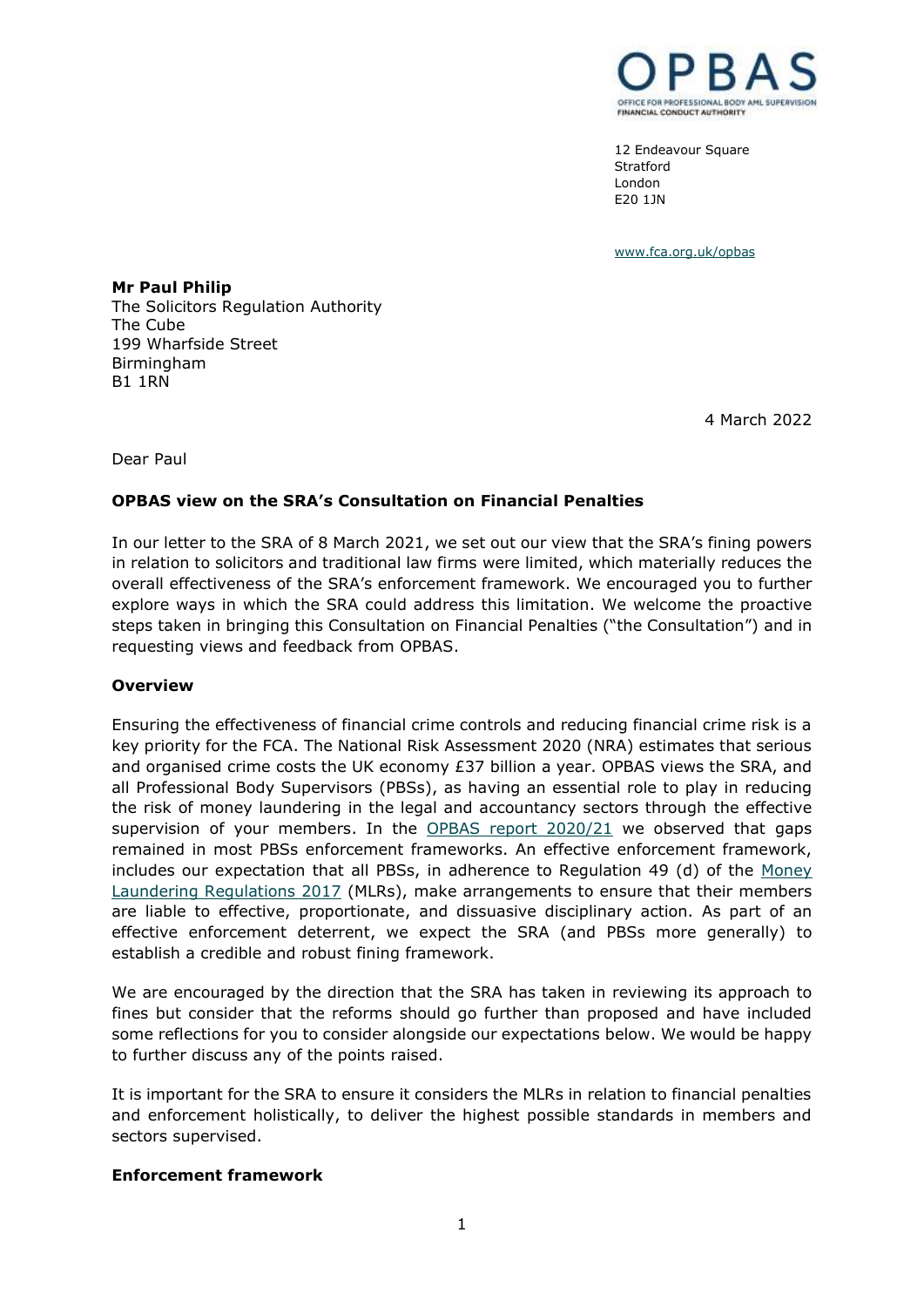

12 Endeavour Square Stratford London E20 1JN

[www.fca.org.uk/opbas](http://www.fca.org.uk/opbas)

**Mr Paul Philip** The Solicitors Regulation Authority The Cube 199 Wharfside Street Birmingham B1 1RN

4 March 2022

Dear Paul

# **OPBAS view on the SRA's Consultation on Financial Penalties**

In our letter to the SRA of 8 March 2021, we set out our view that the SRA's fining powers in relation to solicitors and traditional law firms were limited, which materially reduces the overall effectiveness of the SRA's enforcement framework. We encouraged you to further explore ways in which the SRA could address this limitation. We welcome the proactive steps taken in bringing this Consultation on Financial Penalties ("the Consultation") and in requesting views and feedback from OPBAS.

# **Overview**

Ensuring the effectiveness of financial crime controls and reducing financial crime risk is a key priority for the FCA. The National Risk Assessment 2020 (NRA) estimates that serious and organised crime costs the UK economy  $£37$  billion a year. OPBAS views the SRA, and all Professional Body Supervisors (PBSs), as having an essential role to play in reducing the risk of money laundering in the legal and accountancy sectors through the effective supervision of your members. In the [OPBAS report 2020/21](https://www.fca.org.uk/publication/opbas/supervisory-assessments-progress-themes-2020-21.pdf) we observed that gaps remained in most PBSs enforcement frameworks. An effective enforcement framework, includes our expectation that all PBSs, in adherence to Regulation 49 (d) of the [Money](https://www.legislation.gov.uk/uksi/2017/692/introduction)  [Laundering Regulations 2017](https://www.legislation.gov.uk/uksi/2017/692/introduction) (MLRs), make arrangements to ensure that their members are liable to effective, proportionate, and dissuasive disciplinary action. As part of an effective enforcement deterrent, we expect the SRA (and PBSs more generally) to establish a credible and robust fining framework.

We are encouraged by the direction that the SRA has taken in reviewing its approach to fines but consider that the reforms should go further than proposed and have included some reflections for you to consider alongside our expectations below. We would be happy to further discuss any of the points raised.

It is important for the SRA to ensure it considers the MLRs in relation to financial penalties and enforcement holistically, to deliver the highest possible standards in members and sectors supervised.

# **Enforcement framework**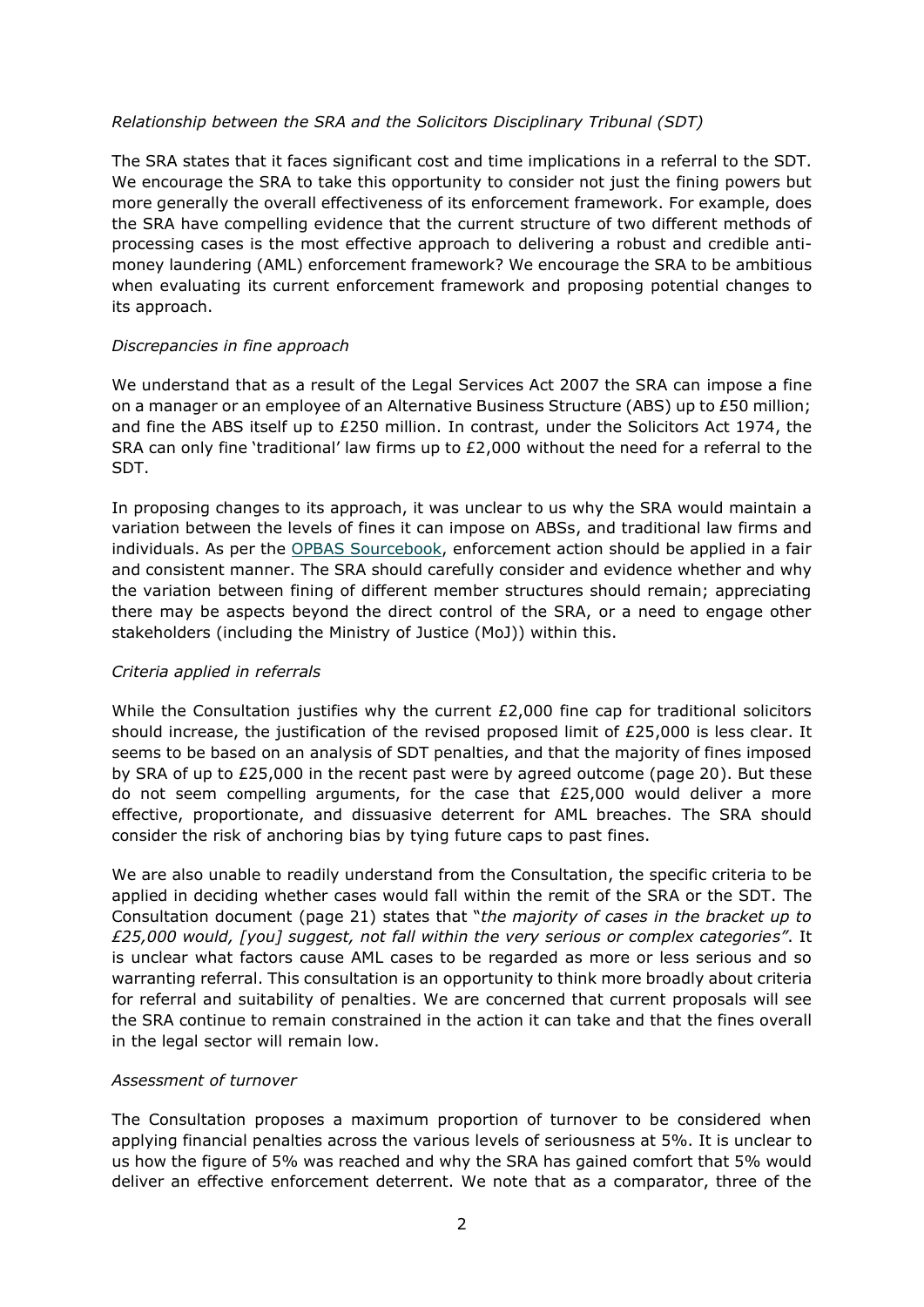# *Relationship between the SRA and the Solicitors Disciplinary Tribunal (SDT)*

The SRA states that it faces significant cost and time implications in a referral to the SDT. We encourage the SRA to take this opportunity to consider not just the fining powers but more generally the overall effectiveness of its enforcement framework. For example, does the SRA have compelling evidence that the current structure of two different methods of processing cases is the most effective approach to delivering a robust and credible antimoney laundering (AML) enforcement framework? We encourage the SRA to be ambitious when evaluating its current enforcement framework and proposing potential changes to its approach.

# *Discrepancies in fine approach*

We understand that as a result of the Legal Services Act 2007 the SRA can impose a fine on a manager or an employee of an Alternative Business Structure (ABS) up to £50 million; and fine the ABS itself up to £250 million. In contrast, under the Solicitors Act 1974, the SRA can only fine 'traditional' law firms up to  $E2,000$  without the need for a referral to the SDT.

In proposing changes to its approach, it was unclear to us why the SRA would maintain a variation between the levels of fines it can impose on ABSs, and traditional law firms and individuals. As per the [OPBAS Sourcebook,](https://www.fca.org.uk/publication/opbas/opbas-sourcebook.pdf) enforcement action should be applied in a fair and consistent manner. The SRA should carefully consider and evidence whether and why the variation between fining of different member structures should remain; appreciating there may be aspects beyond the direct control of the SRA, or a need to engage other stakeholders (including the Ministry of Justice (MoJ)) within this.

# *Criteria applied in referrals*

While the Consultation justifies why the current £2,000 fine cap for traditional solicitors should increase, the justification of the revised proposed limit of £25,000 is less clear. It seems to be based on an analysis of SDT penalties, and that the majority of fines imposed by SRA of up to £25,000 in the recent past were by agreed outcome (page 20). But these do not seem compelling arguments, for the case that £25,000 would deliver a more effective, proportionate, and dissuasive deterrent for AML breaches. The SRA should consider the risk of anchoring bias by tying future caps to past fines.

We are also unable to readily understand from the Consultation, the specific criteria to be applied in deciding whether cases would fall within the remit of the SRA or the SDT. The Consultation document (page 21) states that "*the majority of cases in the bracket up to £25,000 would, [you] suggest, not fall within the very serious or complex categories"*. It is unclear what factors cause AML cases to be regarded as more or less serious and so warranting referral. This consultation is an opportunity to think more broadly about criteria for referral and suitability of penalties. We are concerned that current proposals will see the SRA continue to remain constrained in the action it can take and that the fines overall in the legal sector will remain low.

## *Assessment of turnover*

The Consultation proposes a maximum proportion of turnover to be considered when applying financial penalties across the various levels of seriousness at 5%. It is unclear to us how the figure of 5% was reached and why the SRA has gained comfort that 5% would deliver an effective enforcement deterrent. We note that as a comparator, three of the